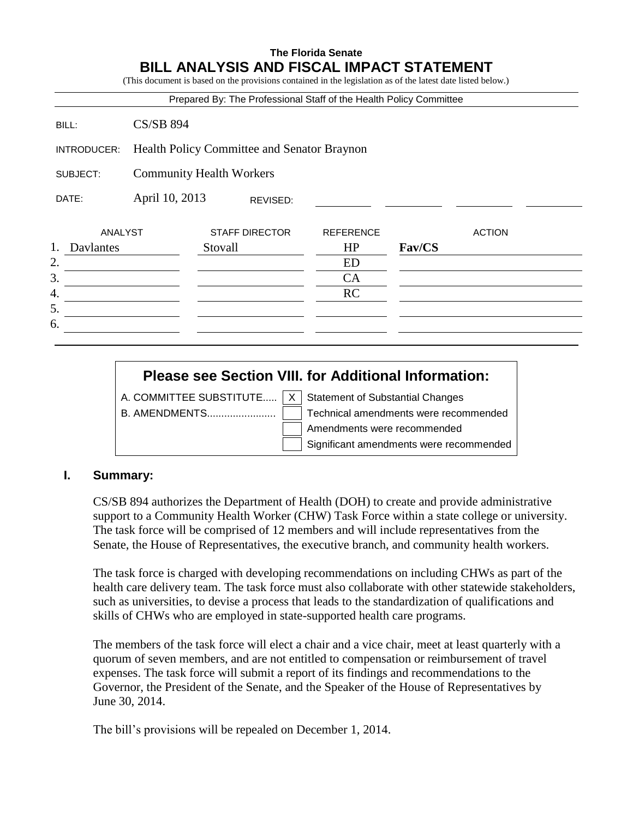# **The Florida Senate BILL ANALYSIS AND FISCAL IMPACT STATEMENT**

(This document is based on the provisions contained in the legislation as of the latest date listed below.)

|                                             |                            | Prepared By: The Professional Staff of the Health Policy Committee |                  |        |               |  |
|---------------------------------------------|----------------------------|--------------------------------------------------------------------|------------------|--------|---------------|--|
| BILL:                                       | <b>CS/SB 894</b>           |                                                                    |                  |        |               |  |
| INTRODUCER:                                 |                            | Health Policy Committee and Senator Braynon                        |                  |        |               |  |
| <b>Community Health Workers</b><br>SUBJECT: |                            |                                                                    |                  |        |               |  |
| DATE:                                       | April 10, 2013<br>REVISED: |                                                                    |                  |        |               |  |
| ANALYST                                     |                            | <b>STAFF DIRECTOR</b>                                              | <b>REFERENCE</b> |        | <b>ACTION</b> |  |
| 1.<br>Davlantes                             |                            | Stovall                                                            | HP               | Fav/CS |               |  |
|                                             |                            |                                                                    | <b>ED</b>        |        |               |  |
|                                             |                            |                                                                    | CA               |        |               |  |
|                                             |                            |                                                                    | <b>RC</b>        |        |               |  |
|                                             |                            |                                                                    |                  |        |               |  |
|                                             |                            |                                                                    |                  |        |               |  |

# **Please see Section VIII. for Additional Information:**

A. COMMITTEE SUBSTITUTE.....  $X \mid$  Statement of Substantial Changes

B. AMENDMENTS........................ Technical amendments were recommended Amendments were recommended Significant amendments were recommended

## **I. Summary:**

CS/SB 894 authorizes the Department of Health (DOH) to create and provide administrative support to a Community Health Worker (CHW) Task Force within a state college or university. The task force will be comprised of 12 members and will include representatives from the Senate, the House of Representatives, the executive branch, and community health workers.

The task force is charged with developing recommendations on including CHWs as part of the health care delivery team. The task force must also collaborate with other statewide stakeholders, such as universities, to devise a process that leads to the standardization of qualifications and skills of CHWs who are employed in state-supported health care programs.

The members of the task force will elect a chair and a vice chair, meet at least quarterly with a quorum of seven members, and are not entitled to compensation or reimbursement of travel expenses. The task force will submit a report of its findings and recommendations to the Governor, the President of the Senate, and the Speaker of the House of Representatives by June 30, 2014.

The bill's provisions will be repealed on December 1, 2014.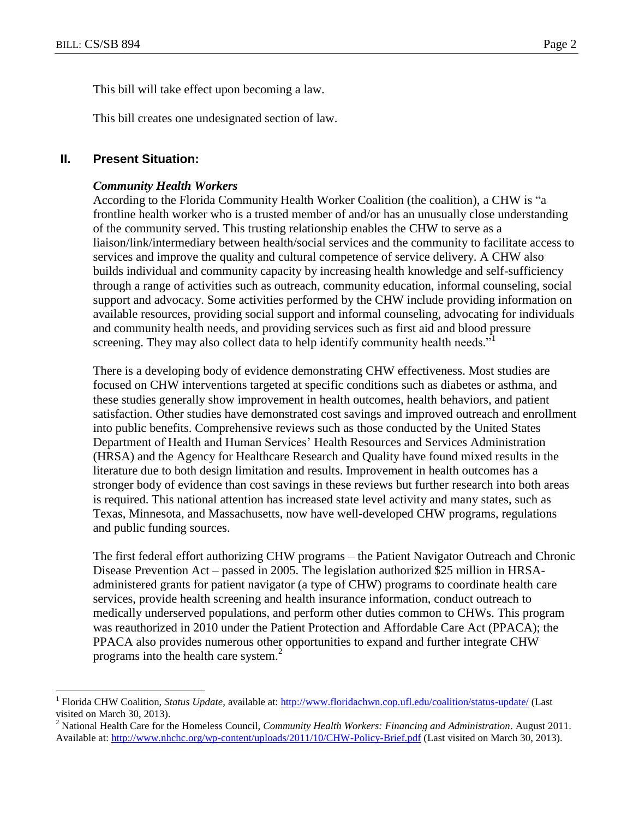$\overline{a}$ 

This bill will take effect upon becoming a law.

This bill creates one undesignated section of law.

#### **II. Present Situation:**

#### *Community Health Workers*

According to the Florida Community Health Worker Coalition (the coalition), a CHW is "a frontline health worker who is a trusted member of and/or has an unusually close understanding of the community served. This trusting relationship enables the CHW to serve as a liaison/link/intermediary between health/social services and the community to facilitate access to services and improve the quality and cultural competence of service delivery. A CHW also builds individual and community capacity by increasing health knowledge and self-sufficiency through a range of activities such as outreach, community education, informal counseling, social support and advocacy. Some activities performed by the CHW include providing information on available resources, providing social support and informal counseling, advocating for individuals and community health needs, and providing services such as first aid and blood pressure screening. They may also collect data to help identify community health needs."<sup>1</sup>

There is a developing body of evidence demonstrating CHW effectiveness. Most studies are focused on CHW interventions targeted at specific conditions such as diabetes or asthma, and these studies generally show improvement in health outcomes, health behaviors, and patient satisfaction. Other studies have demonstrated cost savings and improved outreach and enrollment into public benefits. Comprehensive reviews such as those conducted by the United States Department of Health and Human Services' Health Resources and Services Administration (HRSA) and the Agency for Healthcare Research and Quality have found mixed results in the literature due to both design limitation and results. Improvement in health outcomes has a stronger body of evidence than cost savings in these reviews but further research into both areas is required. This national attention has increased state level activity and many states, such as Texas, Minnesota, and Massachusetts, now have well-developed CHW programs, regulations and public funding sources.

The first federal effort authorizing CHW programs – the Patient Navigator Outreach and Chronic Disease Prevention Act – passed in 2005. The legislation authorized \$25 million in HRSAadministered grants for patient navigator (a type of CHW) programs to coordinate health care services, provide health screening and health insurance information, conduct outreach to medically underserved populations, and perform other duties common to CHWs. This program was reauthorized in 2010 under the Patient Protection and Affordable Care Act (PPACA); the PPACA also provides numerous other opportunities to expand and further integrate CHW programs into the health care system. $<sup>2</sup>$ </sup>

<sup>&</sup>lt;sup>1</sup> Florida CHW Coalition, *Status Update*, available at[: http://www.floridachwn.cop.ufl.edu/coalition/status-update/](http://www.floridachwn.cop.ufl.edu/coalition/status-update/) (Last visited on March 30, 2013).

<sup>2</sup> National Health Care for the Homeless Council, *Community Health Workers: Financing and Administration*. August 2011. Available at:<http://www.nhchc.org/wp-content/uploads/2011/10/CHW-Policy-Brief.pdf> (Last visited on March 30, 2013).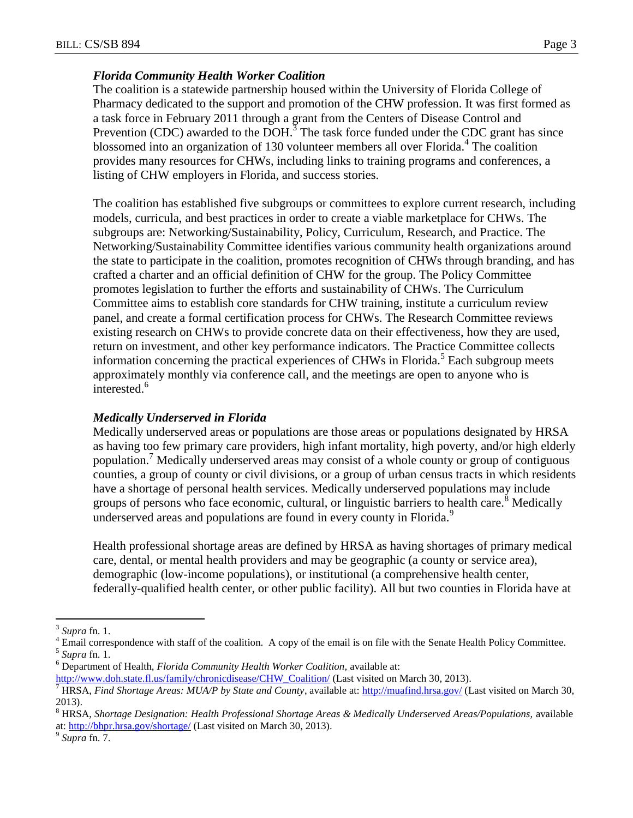## *Florida Community Health Worker Coalition*

The coalition is a statewide partnership housed within the University of Florida College of Pharmacy dedicated to the support and promotion of the CHW profession. It was first formed as a task force in February 2011 through a grant from the Centers of Disease Control and Prevention (CDC) awarded to the  $\overline{DOH}^3$ . The task force funded under the CDC grant has since blossomed into an organization of 130 volunteer members all over Florida.<sup>4</sup> The coalition provides many resources for CHWs, including links to training programs and conferences, a listing of CHW employers in Florida, and success stories.

The coalition has established five subgroups or committees to explore current research, including models, curricula, and best practices in order to create a viable marketplace for CHWs. The subgroups are: Networking/Sustainability, Policy, Curriculum, Research, and Practice. The Networking/Sustainability Committee identifies various community health organizations around the state to participate in the coalition, promotes recognition of CHWs through branding, and has crafted a charter and an official definition of CHW for the group. The Policy Committee promotes legislation to further the efforts and sustainability of CHWs. The Curriculum Committee aims to establish core standards for CHW training, institute a curriculum review panel, and create a formal certification process for CHWs. The Research Committee reviews existing research on CHWs to provide concrete data on their effectiveness, how they are used, return on investment, and other key performance indicators. The Practice Committee collects information concerning the practical experiences of CHWs in Florida.<sup>5</sup> Each subgroup meets approximately monthly via conference call, and the meetings are open to anyone who is interested.<sup>6</sup>

## *Medically Underserved in Florida*

Medically underserved areas or populations are those areas or populations designated by HRSA as having too few primary care providers, high infant mortality, high poverty, and/or high elderly population.<sup>7</sup> Medically underserved areas may consist of a whole county or group of contiguous counties, a group of county or civil divisions, or a group of urban census tracts in which residents have a shortage of personal health services. Medically underserved populations may include groups of persons who face economic, cultural, or linguistic barriers to health care.<sup>8</sup> Medically underserved areas and populations are found in every county in Florida.<sup>9</sup>

Health professional shortage areas are defined by HRSA as having shortages of primary medical care, dental, or mental health providers and may be geographic (a county or service area), demographic (low-income populations), or institutional (a comprehensive health center, federally-qualified health center, or other public facility). All but two counties in Florida have at

 $\overline{a}$ 

<sup>3</sup> *Supra* fn. 1.

<sup>4</sup> Email correspondence with staff of the coalition. A copy of the email is on file with the Senate Health Policy Committee. 5 *Supra* fn. 1.

<sup>6</sup> Department of Health, *Florida Community Health Worker Coalition,* available at:

[http://www.doh.state.fl.us/family/chronicdisease/CHW\\_Coalition/](http://www.doh.state.fl.us/family/chronicdisease/CHW_Coalition/) (Last visited on March 30, 2013).

<sup>7</sup> HRSA, *Find Shortage Areas: MUA/P by State and County*, available at:<http://muafind.hrsa.gov/> (Last visited on March 30, 2013).

<sup>&</sup>lt;sup>8</sup> HRSA, *Shortage Designation: Health Professional Shortage Areas & Medically Underserved Areas/Populations, available* at:<http://bhpr.hrsa.gov/shortage/> (Last visited on March 30, 2013).

<sup>9</sup> *Supra* fn. 7.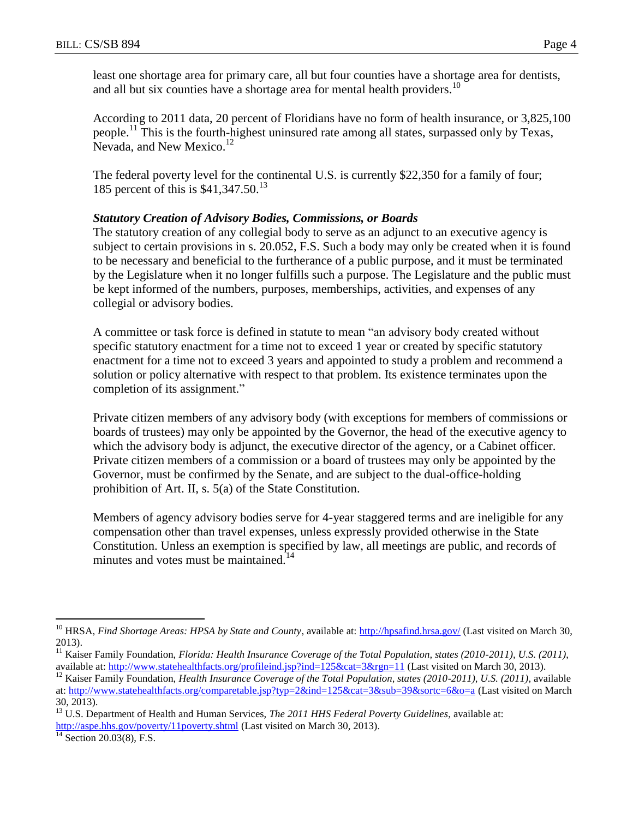least one shortage area for primary care, all but four counties have a shortage area for dentists, and all but six counties have a shortage area for mental health providers.<sup>10</sup>

According to 2011 data, 20 percent of Floridians have no form of health insurance, or 3,825,100 people.<sup>11</sup> This is the fourth-highest uninsured rate among all states, surpassed only by Texas, Nevada, and New Mexico.<sup>12</sup>

The federal poverty level for the continental U.S. is currently \$22,350 for a family of four; 185 percent of this is \$41,347.50.<sup>13</sup>

## *Statutory Creation of Advisory Bodies, Commissions, or Boards*

The statutory creation of any collegial body to serve as an adjunct to an executive agency is subject to certain provisions in s. 20.052, F.S. Such a body may only be created when it is found to be necessary and beneficial to the furtherance of a public purpose, and it must be terminated by the Legislature when it no longer fulfills such a purpose. The Legislature and the public must be kept informed of the numbers, purposes, memberships, activities, and expenses of any collegial or advisory bodies.

A committee or task force is defined in statute to mean "an advisory body created without specific statutory enactment for a time not to exceed 1 year or created by specific statutory enactment for a time not to exceed 3 years and appointed to study a problem and recommend a solution or policy alternative with respect to that problem. Its existence terminates upon the completion of its assignment."

Private citizen members of any advisory body (with exceptions for members of commissions or boards of trustees) may only be appointed by the Governor, the head of the executive agency to which the advisory body is adjunct, the executive director of the agency, or a Cabinet officer. Private citizen members of a commission or a board of trustees may only be appointed by the Governor, must be confirmed by the Senate, and are subject to the dual-office-holding prohibition of Art. II, s. 5(a) of the State Constitution.

Members of agency advisory bodies serve for 4-year staggered terms and are ineligible for any compensation other than travel expenses, unless expressly provided otherwise in the State Constitution. Unless an exemption is specified by law, all meetings are public, and records of minutes and votes must be maintained.<sup>14</sup>

 $\overline{^{14}}$  Section 20.03(8), F.S.

 $\overline{a}$ 

<sup>&</sup>lt;sup>10</sup> HRSA, *Find Shortage Areas: HPSA by State and County*, available at[: http://hpsafind.hrsa.gov/](http://hpsafind.hrsa.gov/) (Last visited on March 30, 2013).

<sup>&</sup>lt;sup>11</sup> Kaiser Family Foundation, *Florida: Health Insurance Coverage of the Total Population, states (2010-2011), U.S. (2011)*, available at:<http://www.statehealthfacts.org/profileind.jsp?ind=125&cat=3&rgn=11> (Last visited on March 30, 2013).

<sup>&</sup>lt;sup>12</sup> Kaiser Family Foundation, *Health Insurance Coverage of the Total Population, states (2010-2011), U.S. (2011)*, available at:<http://www.statehealthfacts.org/comparetable.jsp?typ=2&ind=125&cat=3&sub=39&sortc=6&o=a> (Last visited on March 30, 2013).

<sup>13</sup> U.S. Department of Health and Human Services, *The 2011 HHS Federal Poverty Guidelines*, available at: <http://aspe.hhs.gov/poverty/11poverty.shtml> (Last visited on March 30, 2013).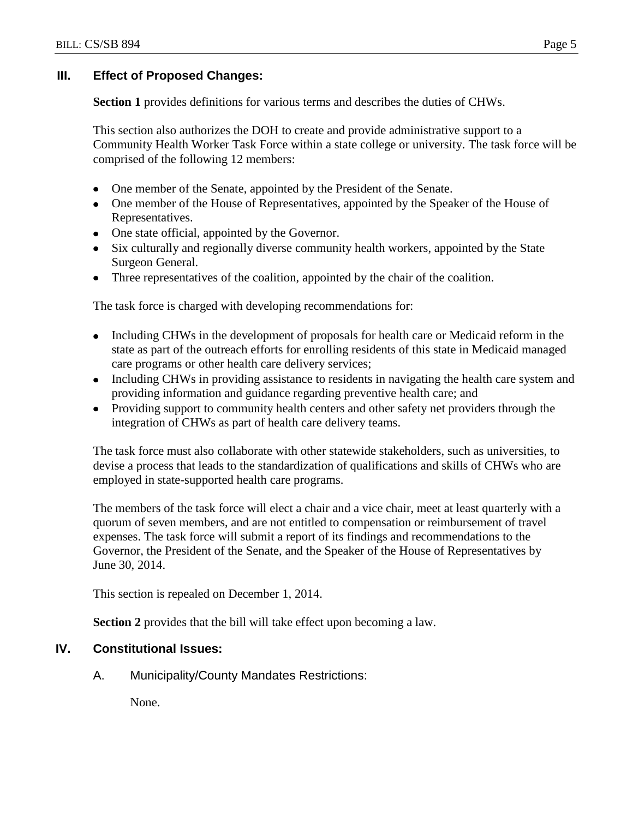## **III. Effect of Proposed Changes:**

**Section 1** provides definitions for various terms and describes the duties of CHWs.

This section also authorizes the DOH to create and provide administrative support to a Community Health Worker Task Force within a state college or university. The task force will be comprised of the following 12 members:

- One member of the Senate, appointed by the President of the Senate.
- One member of the House of Representatives, appointed by the Speaker of the House of Representatives.
- One state official, appointed by the Governor.
- Six culturally and regionally diverse community health workers, appointed by the State Surgeon General.
- Three representatives of the coalition, appointed by the chair of the coalition.

The task force is charged with developing recommendations for:

- Including CHWs in the development of proposals for health care or Medicaid reform in the state as part of the outreach efforts for enrolling residents of this state in Medicaid managed care programs or other health care delivery services;
- Including CHWs in providing assistance to residents in navigating the health care system and providing information and guidance regarding preventive health care; and
- Providing support to community health centers and other safety net providers through the integration of CHWs as part of health care delivery teams.

The task force must also collaborate with other statewide stakeholders, such as universities, to devise a process that leads to the standardization of qualifications and skills of CHWs who are employed in state-supported health care programs.

The members of the task force will elect a chair and a vice chair, meet at least quarterly with a quorum of seven members, and are not entitled to compensation or reimbursement of travel expenses. The task force will submit a report of its findings and recommendations to the Governor, the President of the Senate, and the Speaker of the House of Representatives by June 30, 2014.

This section is repealed on December 1, 2014.

**Section 2** provides that the bill will take effect upon becoming a law.

# **IV. Constitutional Issues:**

A. Municipality/County Mandates Restrictions:

None.